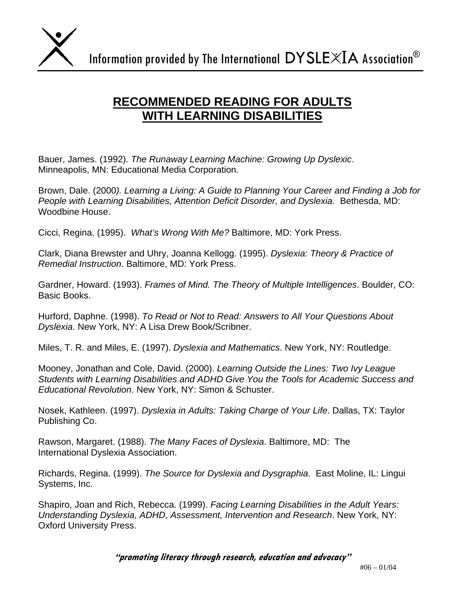

## **RECOMMENDED READING FOR ADULTS WITH LEARNING DISABILITIES**

Bauer, James. (1992). *The Runaway Learning Machine: Growing Up Dyslexic*. Minneapolis, MN: Educational Media Corporation*.* 

Brown, Dale. (2000*). Learning a Living: A Guide to Planning Your Career and Finding a Job for People with Learning Disabilities, Attention Deficit Disorder, and Dyslexia. Bethesda, MD:* Woodbine House.

Cicci, Regina. (1995). *What's Wrong With Me?* Baltimore, MD: York Press.

Clark, Diana Brewster and Uhry, Joanna Kellogg. (1995). *Dyslexia: Theory & Practice of Remedial Instruction*. Baltimore, MD: York Press.

Gardner, Howard. (1993). *Frames of Mind. The Theory of Multiple Intelligences*. Boulder, CO: Basic Books.

Hurford, Daphne. (1998). *To Read or Not to Read: Answers to All Your Questions About Dyslexia*. New York, NY: A Lisa Drew Book/Scribner.

Miles, T. R. and Miles, E. (1997). *Dyslexia and Mathematics*. New York, NY: Routledge.

Mooney, Jonathan and Cole, David. (2000). *Learning Outside the Lines: Two Ivy League Students with Learning Disabilities and ADHD Give You the Tools for Academic Success and Educational Revolution*. New York, NY: Simon & Schuster.

Nosek, Kathleen. (1997). *Dyslexia in Adults: Taking Charge of Your Life*. Dallas, TX: Taylor Publishing Co.

Rawson, Margaret. (1988). *The Many Faces of Dyslexia*. Baltimore, MD: The International Dyslexia Association.

Richards, Regina. (1999). *The Source for Dyslexia and Dysgraphia*. East Moline, IL: Lingui Systems, Inc.

Shapiro, Joan and Rich, Rebecca. (1999). *Facing Learning Disabilities in the Adult Years: Understanding Dyslexia, ADHD, Assessment, Intervention and Research*. New York, NY: Oxford University Press.

**"promoting literacy through research, education and advocacy"**